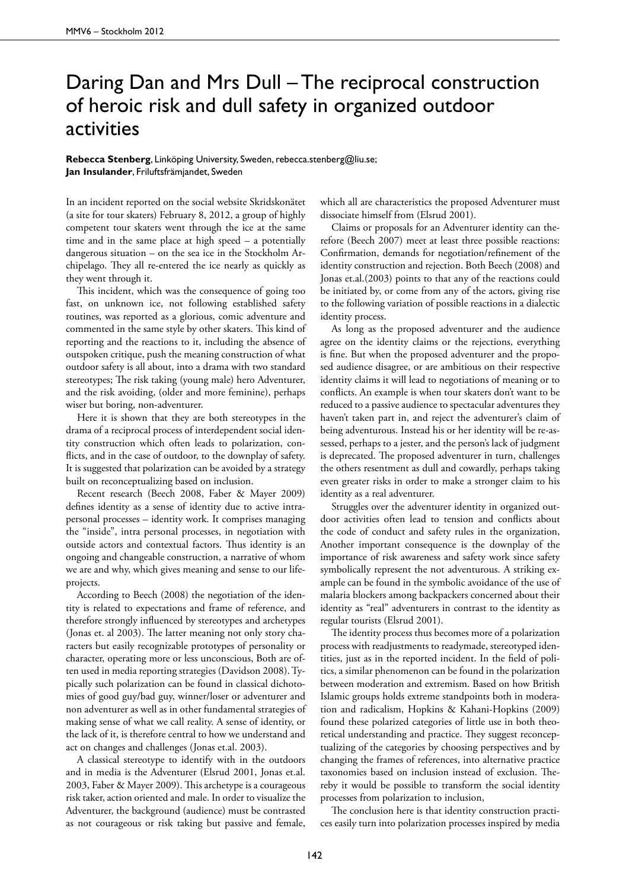## Daring Dan and Mrs Dull – The reciprocal construction of heroic risk and dull safety in organized outdoor activities

## **Rebecca Stenberg**, Linköping University, Sweden, rebecca.stenberg@liu.se; **Jan Insulander**, Friluftsfrämjandet, Sweden

In an incident reported on the social website Skridskonätet (a site for tour skaters) February 8, 2012, a group of highly competent tour skaters went through the ice at the same time and in the same place at high speed – a potentially dangerous situation – on the sea ice in the Stockholm Archipelago. They all re-entered the ice nearly as quickly as they went through it.

This incident, which was the consequence of going too fast, on unknown ice, not following established safety routines, was reported as a glorious, comic adventure and commented in the same style by other skaters. This kind of reporting and the reactions to it, including the absence of outspoken critique, push the meaning construction of what outdoor safety is all about, into a drama with two standard stereotypes; The risk taking (young male) hero Adventurer, and the risk avoiding, (older and more feminine), perhaps wiser but boring, non-adventurer.

Here it is shown that they are both stereotypes in the drama of a reciprocal process of interdependent social identity construction which often leads to polarization, conflicts, and in the case of outdoor, to the downplay of safety. It is suggested that polarization can be avoided by a strategy built on reconceptualizing based on inclusion.

Recent research (Beech 2008, Faber & Mayer 2009) defines identity as a sense of identity due to active intrapersonal processes – identity work. It comprises managing the "inside", intra personal processes, in negotiation with outside actors and contextual factors. Thus identity is an ongoing and changeable construction, a narrative of whom we are and why, which gives meaning and sense to our lifeprojects.

According to Beech (2008) the negotiation of the identity is related to expectations and frame of reference, and therefore strongly influenced by stereotypes and archetypes (Jonas et. al 2003). The latter meaning not only story characters but easily recognizable prototypes of personality or character, operating more or less unconscious, Both are often used in media reporting strategies (Davidson 2008). Typically such polarization can be found in classical dichotomies of good guy/bad guy, winner/loser or adventurer and non adventurer as well as in other fundamental strategies of making sense of what we call reality. A sense of identity, or the lack of it, is therefore central to how we understand and act on changes and challenges (Jonas et.al. 2003).

A classical stereotype to identify with in the outdoors and in media is the Adventurer (Elsrud 2001, Jonas et.al. 2003, Faber & Mayer 2009). This archetype is a courageous risk taker, action oriented and male. In order to visualize the Adventurer, the background (audience) must be contrasted as not courageous or risk taking but passive and female,

which all are characteristics the proposed Adventurer must dissociate himself from (Elsrud 2001).

Claims or proposals for an Adventurer identity can therefore (Beech 2007) meet at least three possible reactions: Confirmation, demands for negotiation/refinement of the identity construction and rejection. Both Beech (2008) and Jonas et.al.(2003) points to that any of the reactions could be initiated by, or come from any of the actors, giving rise to the following variation of possible reactions in a dialectic identity process.

As long as the proposed adventurer and the audience agree on the identity claims or the rejections, everything is fine. But when the proposed adventurer and the proposed audience disagree, or are ambitious on their respective identity claims it will lead to negotiations of meaning or to conflicts. An example is when tour skaters don't want to be reduced to a passive audience to spectacular adventures they haven't taken part in, and reject the adventurer's claim of being adventurous. Instead his or her identity will be re-assessed, perhaps to a jester, and the person's lack of judgment is deprecated. The proposed adventurer in turn, challenges the others resentment as dull and cowardly, perhaps taking even greater risks in order to make a stronger claim to his identity as a real adventurer.

Struggles over the adventurer identity in organized outdoor activities often lead to tension and conflicts about the code of conduct and safety rules in the organization, Another important consequence is the downplay of the importance of risk awareness and safety work since safety symbolically represent the not adventurous. A striking example can be found in the symbolic avoidance of the use of malaria blockers among backpackers concerned about their identity as "real" adventurers in contrast to the identity as regular tourists (Elsrud 2001).

The identity process thus becomes more of a polarization process with readjustments to readymade, stereotyped identities, just as in the reported incident. In the field of politics, a similar phenomenon can be found in the polarization between moderation and extremism. Based on how British Islamic groups holds extreme standpoints both in moderation and radicalism, Hopkins & Kahani-Hopkins (2009) found these polarized categories of little use in both theoretical understanding and practice. They suggest reconceptualizing of the categories by choosing perspectives and by changing the frames of references, into alternative practice taxonomies based on inclusion instead of exclusion. Thereby it would be possible to transform the social identity processes from polarization to inclusion,

The conclusion here is that identity construction practices easily turn into polarization processes inspired by media